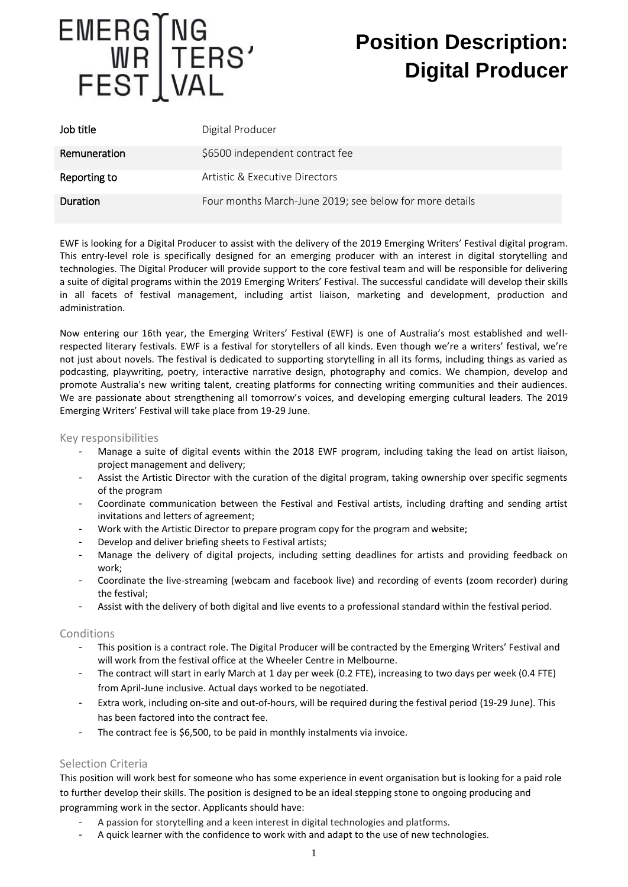

# **Position Description: Digital Producer**

| Job title       | Digital Producer                                        |
|-----------------|---------------------------------------------------------|
| Remuneration    | \$6500 independent contract fee                         |
| Reporting to    | Artistic & Executive Directors                          |
| <b>Duration</b> | Four months March-June 2019; see below for more details |

EWF is looking for a Digital Producer to assist with the delivery of the 2019 Emerging Writers' Festival digital program. This entry-level role is specifically designed for an emerging producer with an interest in digital storytelling and technologies. The Digital Producer will provide support to the core festival team and will be responsible for delivering a suite of digital programs within the 2019 Emerging Writers' Festival. The successful candidate will develop their skills in all facets of festival management, including artist liaison, marketing and development, production and administration.

Now entering our 16th year, the Emerging Writers' Festival (EWF) is one of Australia's most established and wellrespected literary festivals. EWF is a festival for storytellers of all kinds. Even though we're a writers' festival, we're not just about novels. The festival is dedicated to supporting storytelling in all its forms, including things as varied as podcasting, playwriting, poetry, interactive narrative design, photography and comics. We champion, develop and promote Australia's new writing talent, creating platforms for connecting writing communities and their audiences. We are passionate about strengthening all tomorrow's voices, and developing emerging cultural leaders. The 2019 Emerging Writers' Festival will take place from 19-29 June.

### Key responsibilities

- Manage a suite of digital events within the 2018 EWF program, including taking the lead on artist liaison, project management and delivery;
- Assist the Artistic Director with the curation of the digital program, taking ownership over specific segments of the program
- Coordinate communication between the Festival and Festival artists, including drafting and sending artist invitations and letters of agreement;
- Work with the Artistic Director to prepare program copy for the program and website;
- Develop and deliver briefing sheets to Festival artists;
- Manage the delivery of digital projects, including setting deadlines for artists and providing feedback on work;
- Coordinate the live-streaming (webcam and facebook live) and recording of events (zoom recorder) during the festival;
- Assist with the delivery of both digital and live events to a professional standard within the festival period.

#### Conditions

- This position is a contract role. The Digital Producer will be contracted by the Emerging Writers' Festival and will work from the festival office at the Wheeler Centre in Melbourne.
- The contract will start in early March at 1 day per week (0.2 FTE), increasing to two days per week (0.4 FTE) from April-June inclusive. Actual days worked to be negotiated.
- Extra work, including on-site and out-of-hours, will be required during the festival period (19-29 June). This has been factored into the contract fee.
- The contract fee is \$6,500, to be paid in monthly instalments via invoice.

## Selection Criteria

This position will work best for someone who has some experience in event organisation but is looking for a paid role to further develop their skills. The position is designed to be an ideal stepping stone to ongoing producing and programming work in the sector. Applicants should have:

- A passion for storytelling and a keen interest in digital technologies and platforms.
- A quick learner with the confidence to work with and adapt to the use of new technologies.